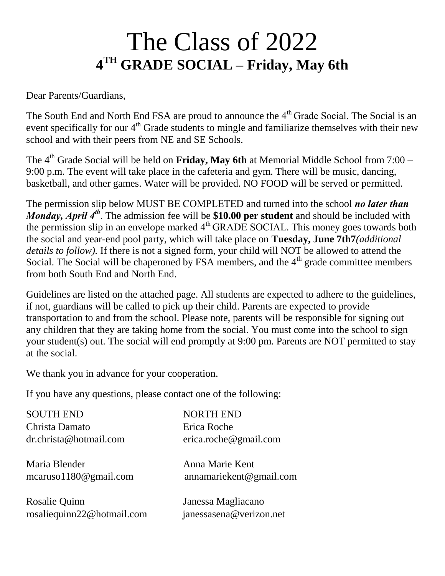# The Class of 2022 **4 TH GRADE SOCIAL – Friday, May 6th**

Dear Parents/Guardians,

The South End and North End FSA are proud to announce the  $4<sup>th</sup>$  Grade Social. The Social is an event specifically for our  $4<sup>th</sup>$  Grade students to mingle and familiarize themselves with their new school and with their peers from NE and SE Schools.

The 4<sup>th</sup> Grade Social will be held on **Friday, May 6th** at Memorial Middle School from 7:00 – 9:00 p.m. The event will take place in the cafeteria and gym. There will be music, dancing, basketball, and other games. Water will be provided. NO FOOD will be served or permitted.

The permission slip below MUST BE COMPLETED and turned into the school *no later than Monday, April* 4<sup>th</sup>. The admission fee will be \$10.00 per student and should be included with the permission slip in an envelope marked  $4<sup>th</sup>$  GRADE SOCIAL. This money goes towards both the social and year-end pool party, which will take place on **Tuesday, June 7th7***(additional details to follow).* If there is not a signed form, your child will NOT be allowed to attend the Social. The Social will be chaperoned by FSA members, and the  $4<sup>th</sup>$  grade committee members from both South End and North End.

Guidelines are listed on the attached page. All students are expected to adhere to the guidelines, if not, guardians will be called to pick up their child. Parents are expected to provide transportation to and from the school. Please note, parents will be responsible for signing out any children that they are taking home from the social. You must come into the school to sign your student(s) out. The social will end promptly at 9:00 pm. Parents are NOT permitted to stay at the social.

We thank you in advance for your cooperation.

If you have any questions, please contact one of the following:

| <b>SOUTH END</b>                            | <b>NORTH END</b>                              |
|---------------------------------------------|-----------------------------------------------|
| Christa Damato                              | Erica Roche                                   |
| dr.christa@hotmail.com                      | erica.roche@gmail.com                         |
| Maria Blender<br>mcaruso $1180@$ gmail.com  | Anna Marie Kent<br>annamariekent@gmail.com    |
| Rosalie Quinn<br>rosaliequinn22@hotmail.com | Janessa Magliacano<br>janessasena@verizon.net |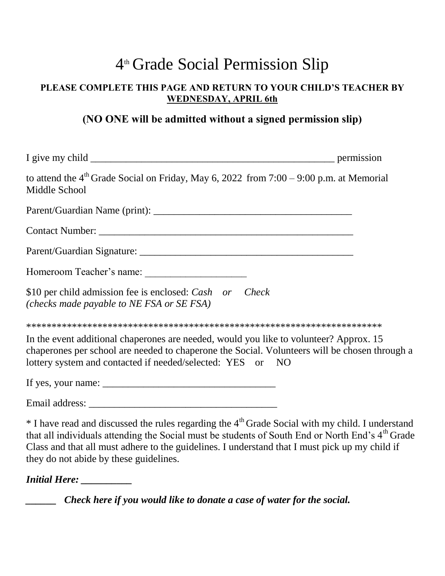## 4 th Grade Social Permission Slip

#### **PLEASE COMPLETE THIS PAGE AND RETURN TO YOUR CHILD'S TEACHER BY WEDNESDAY, APRIL 6th**

#### **(NO ONE will be admitted without a signed permission slip)**

| to attend the $4th$ Grade Social on Friday, May 6, 2022 from 7:00 – 9:00 p.m. at Memorial<br>Middle School                                                                                                                                                                                                                                                                               |  |
|------------------------------------------------------------------------------------------------------------------------------------------------------------------------------------------------------------------------------------------------------------------------------------------------------------------------------------------------------------------------------------------|--|
|                                                                                                                                                                                                                                                                                                                                                                                          |  |
|                                                                                                                                                                                                                                                                                                                                                                                          |  |
|                                                                                                                                                                                                                                                                                                                                                                                          |  |
| Homeroom Teacher's name:                                                                                                                                                                                                                                                                                                                                                                 |  |
| \$10 per child admission fee is enclosed: Cash or Check<br>(checks made payable to NE FSA or SE FSA)                                                                                                                                                                                                                                                                                     |  |
|                                                                                                                                                                                                                                                                                                                                                                                          |  |
| In the event additional chaperones are needed, would you like to volunteer? Approx. 15<br>chaperones per school are needed to chaperone the Social. Volunteers will be chosen through a<br>lottery system and contacted if needed/selected: YES or NO                                                                                                                                    |  |
| If yes, your name: $\frac{1}{\sqrt{1-\frac{1}{2}}}\left\{ \frac{1}{2} + \frac{1}{2} + \frac{1}{2} + \frac{1}{2} + \frac{1}{2} + \frac{1}{2} + \frac{1}{2} + \frac{1}{2} + \frac{1}{2} + \frac{1}{2} + \frac{1}{2} + \frac{1}{2} + \frac{1}{2} + \frac{1}{2} + \frac{1}{2} + \frac{1}{2} + \frac{1}{2} + \frac{1}{2} + \frac{1}{2} + \frac{1}{2} + \frac{1}{2} + \frac{1}{2} + \frac{1}{$ |  |
|                                                                                                                                                                                                                                                                                                                                                                                          |  |
| * I have read and discussed the rules regarding the 4 <sup>th</sup> Grade Social with my child. I understand                                                                                                                                                                                                                                                                             |  |

that all individuals attending the Social must be students of South End or North End's 4<sup>th</sup> Grade Class and that all must adhere to the guidelines. I understand that I must pick up my child if they do not abide by these guidelines.

*Initial Here: \_\_\_\_\_\_\_\_\_\_*

*\_\_\_\_\_\_ Check here if you would like to donate a case of water for the social.*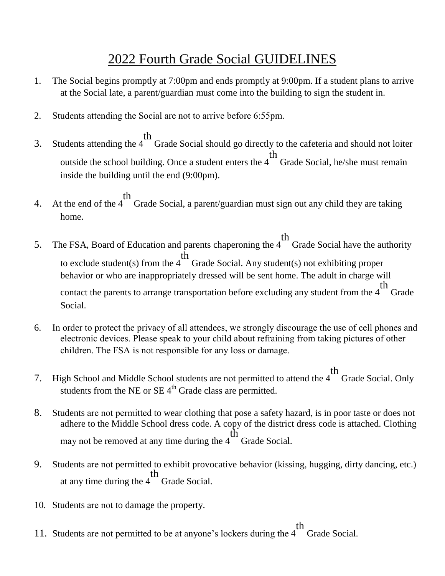### 2022 Fourth Grade Social GUIDELINES

- 1. The Social begins promptly at 7:00pm and ends promptly at 9:00pm. If a student plans to arrive at the Social late, a parent/guardian must come into the building to sign the student in.
- 2. Students attending the Social are not to arrive before 6:55pm.
- 3. Students attending the 4 th Grade Social should go directly to the cafeteria and should not loiter outside the school building. Once a student enters the 4 th Grade Social, he/she must remain inside the building until the end (9:00pm).
- 4. At the end of the 4 th Grade Social, a parent/guardian must sign out any child they are taking home.
- 5. The FSA, Board of Education and parents chaperoning the 4 th Grade Social have the authority to exclude student(s) from the 4 th Grade Social. Any student(s) not exhibiting proper behavior or who are inappropriately dressed will be sent home. The adult in charge will contact the parents to arrange transportation before excluding any student from the 4 th Grade Social.
- 6. In order to protect the privacy of all attendees, we strongly discourage the use of cell phones and electronic devices. Please speak to your child about refraining from taking pictures of other children. The FSA is not responsible for any loss or damage.
- 7. High School and Middle School students are not permitted to attend the 4 th Grade Social. Only students from the NE or  $SE$  4<sup>th</sup> Grade class are permitted.
- 8. Students are not permitted to wear clothing that pose a safety hazard, is in poor taste or does not adhere to the Middle School dress code. A copy of the district dress code is attached. Clothing may not be removed at any time during the 4 th Grade Social.
- 9. Students are not permitted to exhibit provocative behavior (kissing, hugging, dirty dancing, etc.) at any time during the 4 th Grade Social.
- 10. Students are not to damage the property.
- 11. Students are not permitted to be at anyone's lockers during the 4 th Grade Social.